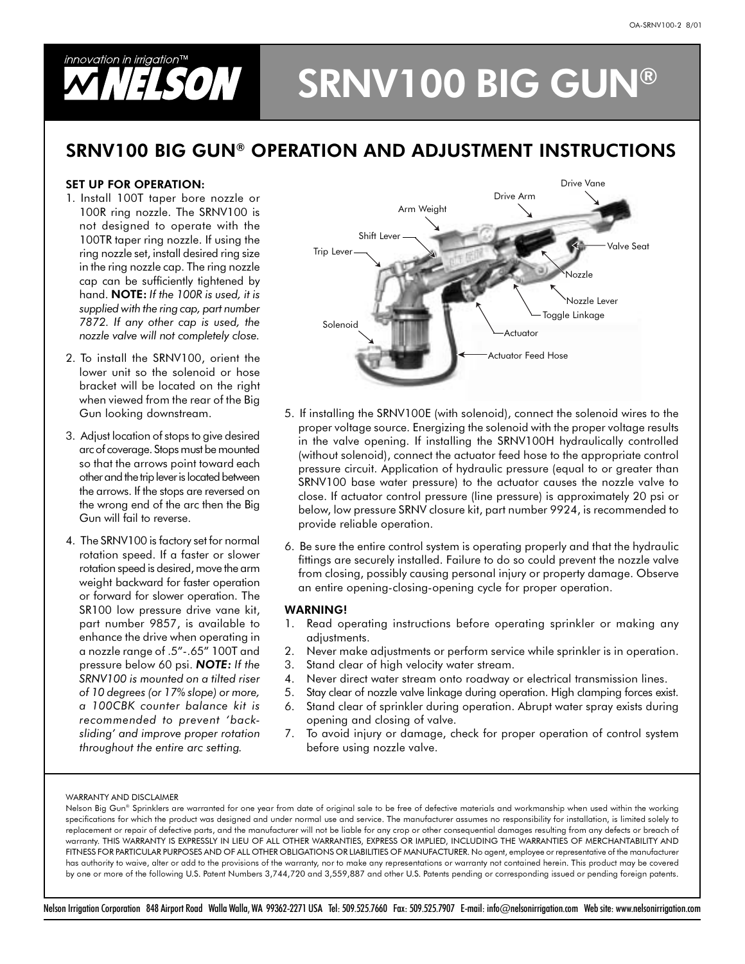## innovation in irrigation $\mathbb{I}^{\mathsf{M}}$ **NELSON SRNV100 BIG GUN®**

## SRNV100 BIG GUN® OPERATION AND ADJUSTMENT INSTRUCTIONS

### **SET UP FOR OPERATION:**

- 1. Install 100T taper bore nozzle or 100R ring nozzle. The SRNV100 is not designed to operate with the 100TR taper ring nozzle. If using the ring nozzle set, install desired ring size in the ring nozzle cap. The ring nozzle cap can be sufficiently tightened by hand. NOTE: If the 100R is used, it is supplied with the ring cap, part number 7872. If any other cap is used, the nozzle valve will not completely close.
- 2. To install the SRNV100, orient the lower unit so the solenoid or hose bracket will be located on the right when viewed from the rear of the Big Gun looking downstream.
- 3. Adjust location of stops to give desired arc of coverage. Stops must be mounted so that the arrows point toward each other and the trip lever is located between the arrows. If the stops are reversed on the wrong end of the arc then the Big Gun will fail to reverse.
- 4. The SRNV100 is factory set for normal rotation speed. If a faster or slower rotation speed is desired, move the arm weight backward for faster operation or forward for slower operation. The SR100 low pressure drive vane kit, part number 9857, is available to enhance the drive when operating in a nozzle range of .5"-.65" 100T and pressure below 60 psi. NOTE: If the SRNV100 is mounted on a tilted riser of 10 degrees (or 17% slope) or more, a 100CBK counter balance kit is recommended to prevent 'backsliding' and improve proper rotation throughout the entire arc setting.



- 5. If installing the SRNV100E (with solenoid), connect the solenoid wires to the proper voltage source. Energizing the solenoid with the proper voltage results in the valve opening. If installing the SRNV100H hydraulically controlled (without solenoid), connect the actuator feed hose to the appropriate control pressure circuit. Application of hydraulic pressure (equal to or greater than SRNV100 base water pressure) to the actuator causes the nozzle valve to close. If actuator control pressure (line pressure) is approximately 20 psi or below, low pressure SRNV closure kit, part number 9924, is recommended to provide reliable operation.
- 6. Be sure the entire control system is operating properly and that the hydraulic fittings are securely installed. Failure to do so could prevent the nozzle valve from closing, possibly causing personal injury or property damage. Observe an entire opening-closing-opening cycle for proper operation.

#### **WARNING!**

- 1. Read operating instructions before operating sprinkler or making any adjustments.
- 2. Never make adjustments or perform service while sprinkler is in operation.
- 3. Stand clear of high velocity water stream.
- 4. Never direct water stream onto roadway or electrical transmission lines.
- 5. Stay clear of nozzle valve linkage during operation. High clamping forces exist.
- 6. Stand clear of sprinkler during operation. Abrupt water spray exists during opening and closing of valve.
- 7. To avoid injury or damage, check for proper operation of control system before using nozzle valve.

#### WARRANTY AND DISCLAIMER

Nelson Big Gun® Sprinklers are warranted for one year from date of original sale to be free of defective materials and workmanship when used within the working specifications for which the product was designed and under normal use and service. The manufacturer assumes no responsibility for installation, is limited solely to replacement or repair of defective parts, and the manufacturer will not be liable for any crop or other consequential damages resulting from any defects or breach of warranty. THIS WARRANTY IS EXPRESSLY IN LIEU OF ALL OTHER WARRANTIES, EXPRESS OR IMPLIED, INCLUDING THE WARRANTIES OF MERCHANTABILITY AND FITNESS FOR PARTICULAR PURPOSES AND OF ALL OTHER OBLIGATIONS OR LIABILITIES OF MANUFACTURER. No agent, employee or representative of the manufacturer has authority to waive, alter or add to the provisions of the warranty, nor to make any representations or warranty not contained herein. This product may be covered by one or more of the following U.S. Patent Numbers 3,744,720 and 3,559,887 and other U.S. Patents pending or corresponding issued or pending foreign patents.

Nelson Irrigation Corporation 848 Airport Road Walla Walla, WA 99362-2271 USA Tel: 509.525.7660 Fax: 509.525.7907 E-mail: info@nelsonirrigation.com Web site: www.nelsonirrigation.com